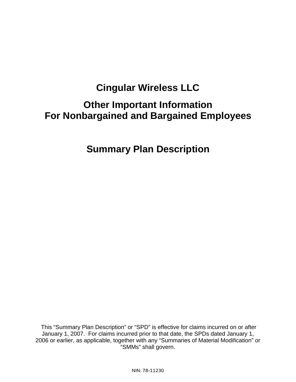# **Cingular Wireless LLC**

# **Other Important Information For Nonbargained and Bargained Employees**

# **Summary Plan Description**

 This "Summary Plan Description" or "SPD" is effective for claims incurred on or after January 1, 2007. For claims incurred prior to that date, the SPDs dated January 1, 2006 or earlier, as applicable, together with any "Summaries of Material Modification" or "SMMs" shall govern.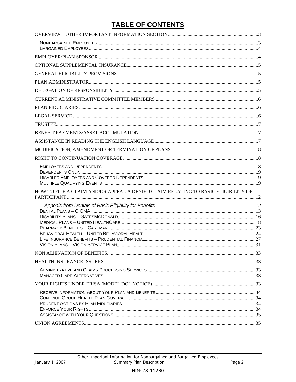# **TABLE OF CONTENTS**

| HOW TO FILE A CLAIM AND/OR APPEAL A DENIED CLAIM RELATING TO BASIC ELIGIBILITY OF |  |
|-----------------------------------------------------------------------------------|--|
|                                                                                   |  |
|                                                                                   |  |
|                                                                                   |  |
|                                                                                   |  |
|                                                                                   |  |
|                                                                                   |  |
|                                                                                   |  |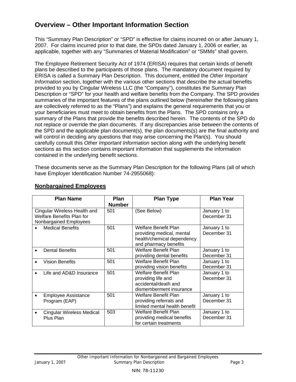# **Overview – Other Important Information Section**

This "Summary Plan Description" or "SPD" is effective for claims incurred on or after January 1, 2007. For claims incurred prior to that date, the SPDs dated January 1, 2006 or earlier, as applicable, together with any "Summaries of Material Modification" or "SMMs" shall govern.

The Employee Retirement Security Act of 1974 (ERISA) requires that certain kinds of benefit plans be described to the participants of those plans. The mandatory document required by ERISA is called a Summary Plan Description. This document, entitled the *Other Important Information* section, together with the various other sections that describe the actual benefits provided to you by Cingular Wireless LLC (the "Company"), constitutes the Summary Plan Description or "SPD" for your health and welfare benefits from the Company. The SPD provides summaries of the important features of the plans outlined below (hereinafter the following plans are collectively referred to as the "Plans") and explains the general requirements that you or your beneficiaries must meet to obtain benefits from the Plans. The SPD contains only a summary of the Plans that provide the benefits described herein. The contents of the SPD do not replace or override the plan documents. If any discrepancies arise between the contents of the SPD and the applicable plan document(s), the plan documents(s) are the final authority and will control in deciding any questions that may arise concerning the Plan(s). You should carefully consult this *Other Important Information* section along with the underlying benefit sections as this section contains important information that supplements the information contained in the underlying benefit sections.

These documents serve as the Summary Plan Description for the following Plans (all of which have Employer Identification Number 74-2955068):

| <b>Plan Name</b>                                                                    | <b>Plan</b>   | <b>Plan Type</b>                                                                                         | <b>Plan Year</b>            |
|-------------------------------------------------------------------------------------|---------------|----------------------------------------------------------------------------------------------------------|-----------------------------|
|                                                                                     | <b>Number</b> |                                                                                                          |                             |
| Cingular Wireless Health and<br>Welfare Benefits Plan for<br>Nonbargained Employees | 501           | (See Below)                                                                                              | January 1 to<br>December 31 |
| <b>Medical Benefits</b>                                                             | 501           | Welfare Benefit Plan<br>providing medical, mental<br>health/chemical dependency<br>and pharmacy benefits | January 1 to<br>December 31 |
| <b>Dental Benefits</b>                                                              | 501           | Welfare Benefit Plan<br>providing dental benefits                                                        | January 1 to<br>December 31 |
| <b>Vision Benefits</b>                                                              | 501           | Welfare Benefit Plan<br>providing vision benefits                                                        | January 1 to<br>December 31 |
| Life and AD&D Insurance                                                             | 501           | <b>Welfare Benefit Plan</b><br>providing life and<br>accidental/death and<br>dismemberment insurance     | January 1 to<br>December 31 |
| <b>Employee Assistance</b><br>Program (EAP)                                         | 501           | Welfare Benefit Plan<br>providing referrals and<br>limited mental health benefit                         | January 1 to<br>December 31 |
| Cingular Wireless Medical<br>Plus Plan                                              | 503           | Welfare Benefit Plan<br>providing medical benefits<br>for certain treatments                             | January 1 to<br>December 31 |

### **Nonbargained Employees**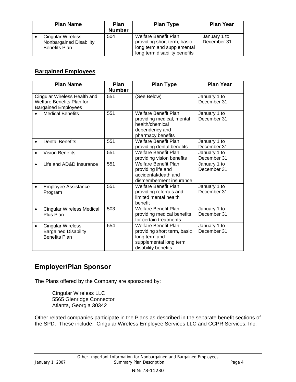| <b>Plan Name</b>                                                            | Plan<br><b>Number</b> | <b>Plan Type</b>                                                                                                   | <b>Plan Year</b>            |
|-----------------------------------------------------------------------------|-----------------------|--------------------------------------------------------------------------------------------------------------------|-----------------------------|
| <b>Cingular Wireless</b><br>Nonbargained Disability<br><b>Benefits Plan</b> | 504                   | Welfare Benefit Plan<br>providing short term, basic<br>long term and supplemental<br>long term disability benefits | January 1 to<br>December 31 |

# **Bargained Employees**

| <b>Plan Name</b>                                                                               | Plan<br><b>Number</b> | <b>Plan Type</b>                                                                                                      | <b>Plan Year</b>            |
|------------------------------------------------------------------------------------------------|-----------------------|-----------------------------------------------------------------------------------------------------------------------|-----------------------------|
| Cingular Wireless Health and<br><b>Welfare Benefits Plan for</b><br><b>Bargained Employees</b> | 551                   | (See Below)                                                                                                           | January 1 to<br>December 31 |
| <b>Medical Benefits</b>                                                                        | 551                   | <b>Welfare Benefit Plan</b><br>providing medical, mental<br>health/chemical<br>dependency and<br>pharmacy benefits    | January 1 to<br>December 31 |
| <b>Dental Benefits</b>                                                                         | 551                   | <b>Welfare Benefit Plan</b><br>providing dental benefits                                                              | January 1 to<br>December 31 |
| <b>Vision Benefits</b><br>$\bullet$                                                            | 551                   | Welfare Benefit Plan<br>providing vision benefits                                                                     | January 1 to<br>December 31 |
| Life and AD&D Insurance                                                                        | 551                   | <b>Welfare Benefit Plan</b><br>providing life and<br>accidental/death and<br>dismemberment insurance                  | January 1 to<br>December 31 |
| <b>Employee Assistance</b><br>Program                                                          | 551                   | <b>Welfare Benefit Plan</b><br>providing referrals and<br>limited mental health<br>benefit                            | January 1 to<br>December 31 |
| Cingular Wireless Medical<br>Plus Plan                                                         | 503                   | Welfare Benefit Plan<br>providing medical benefits<br>for certain treatments                                          | January 1 to<br>December 31 |
| <b>Cingular Wireless</b><br>$\bullet$<br><b>Bargained Disability</b><br><b>Benefits Plan</b>   | 554                   | Welfare Benefit Plan<br>providing short term, basic<br>long term and<br>supplemental long term<br>disability benefits | January 1 to<br>December 31 |

# **Employer/Plan Sponsor**

The Plans offered by the Company are sponsored by:

Cingular Wireless LLC 5565 Glenridge Connector Atlanta, Georgia 30342

Other related companies participate in the Plans as described in the separate benefit sections of the SPD. These include: Cingular Wireless Employee Services LLC and CCPR Services, Inc.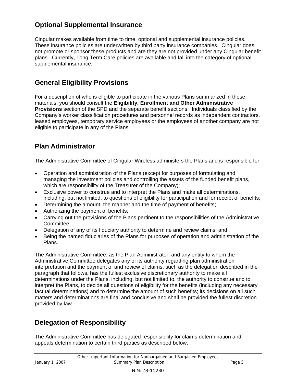# **Optional Supplemental Insurance**

Cingular makes available from time to time, optional and supplemental insurance policies. These insurance policies are underwritten by third party insurance companies. Cingular does not promote or sponsor these products and are they are not provided under any Cingular benefit plans. Currently, Long Term Care policies are available and fall into the category of optional supplemental insurance.

# **General Eligibility Provisions**

For a description of who is eligible to participate in the various Plans summarized in these materials, you should consult the **Eligibility, Enrollment and Other Administrative Provisions** section of the SPD and the separate benefit sections. Individuals classified by the Company's worker classification procedures and personnel records as independent contractors, leased employees, temporary service employees or the employees of another company are not eligible to participate in any of the Plans.

# **Plan Administrator**

The Administrative Committee of Cingular Wireless administers the Plans and is responsible for:

- Operation and administration of the Plans (except for purposes of formulating and managing the investment policies and controlling the assets of the funded benefit plans, which are responsibility of the Treasurer of the Company);
- Exclusive power to construe and to interpret the Plans and make all determinations, including, but not limited, to questions of eligibility for participation and for receipt of benefits;
- Determining the amount, the manner and the time of payment of benefits;
- Authorizing the payment of benefits;
- Carrying out the provisions of the Plans pertinent to the responsibilities of the Administrative Committee;
- Delegation of any of its fiduciary authority to determine and review claims; and
- Being the named fiduciaries of the Plans for purposes of operation and administration of the Plans.

The Administrative Committee, as the Plan Administrator, and any entity to whom the Administrative Committee delegates any of its authority regarding plan administration interpretation and the payment of and review of claims, such as the delegation described in the paragraph that follows, has the fullest exclusive discretionary authority to make all determinations under the Plans, including, but not limited to, the authority to construe and to interpret the Plans, to decide all questions of eligibility for the benefits (including any necessary factual determinations) and to determine the amount of such benefits; its decisions on all such matters and determinations are final and conclusive and shall be provided the fullest discretion provided by law.

# **Delegation of Responsibility**

The Administrative Committee has delegated responsibility for claims determination and appeals determination to certain third parties as described below: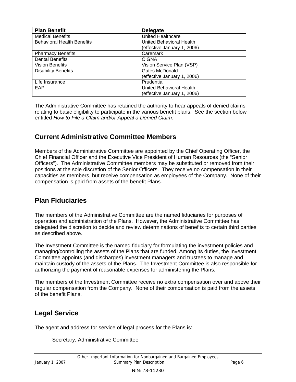| <b>Plan Benefit</b>               | <b>Delegate</b>             |
|-----------------------------------|-----------------------------|
| <b>Medical Benefits</b>           | <b>United Healthcare</b>    |
| <b>Behavioral Health Benefits</b> | United Behavioral Health    |
|                                   | (effective January 1, 2006) |
| <b>Pharmacy Benefits</b>          | Caremark                    |
| <b>Dental Benefits</b>            | <b>CIGNA</b>                |
| <b>Vision Benefits</b>            | Vision Service Plan (VSP)   |
| <b>Disability Benefits</b>        | Gates McDonald              |
|                                   | (effective January 1, 2006) |
| Life Insurance                    | Prudential                  |
| EAP                               | United Behavioral Health    |
|                                   | (effective January 1, 2006) |

The Administrative Committee has retained the authority to hear appeals of denied claims relating to basic eligibility to participate in the various benefit plans. See the section below entitled *How to File a Claim and/or Appeal a Denied Claim*.

# **Current Administrative Committee Members**

Members of the Administrative Committee are appointed by the Chief Operating Officer, the Chief Financial Officer and the Executive Vice President of Human Resources (the "Senior Officers"). The Administrative Committee members may be substituted or removed from their positions at the sole discretion of the Senior Officers. They receive no compensation in their capacities as members, but receive compensation as employees of the Company. None of their compensation is paid from assets of the benefit Plans.

# **Plan Fiduciaries**

The members of the Administrative Committee are the named fiduciaries for purposes of operation and administration of the Plans. However, the Administrative Committee has delegated the discretion to decide and review determinations of benefits to certain third parties as described above.

The Investment Committee is the named fiduciary for formulating the investment policies and managing/controlling the assets of the Plans that are funded. Among its duties, the Investment Committee appoints (and discharges) investment managers and trustees to manage and maintain custody of the assets of the Plans. The Investment Committee is also responsible for authorizing the payment of reasonable expenses for administering the Plans.

The members of the Investment Committee receive no extra compensation over and above their regular compensation from the Company. None of their compensation is paid from the assets of the benefit Plans.

# **Legal Service**

The agent and address for service of legal process for the Plans is:

Secretary, Administrative Committee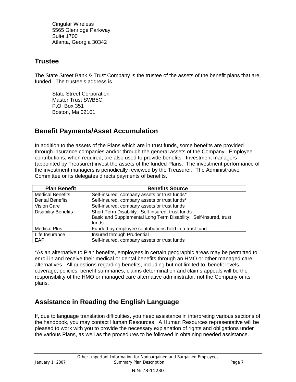Cingular Wireless 5565 Glenridge Parkway Suite 1700 Atlanta, Georgia 30342

# **Trustee**

The State Street Bank & Trust Company is the trustee of the assets of the benefit plans that are funded. The trustee's address is

State Street Corporation Master Trust SWB5C P.O. Box 351 Boston, Ma 02101

# **Benefit Payments/Asset Accumulation**

In addition to the assets of the Plans which are in trust funds, some benefits are provided through insurance companies and/or through the general assets of the Company. Employee contributions, when required, are also used to provide benefits. Investment managers (appointed by Treasurer) invest the assets of the funded Plans. The investment performance of the investment managers is periodically reviewed by the Treasurer. The Administrative Committee or its delegates directs payments of benefits.

| <b>Plan Benefit</b>        | <b>Benefits Source</b>                                           |
|----------------------------|------------------------------------------------------------------|
| <b>Medical Benefits</b>    | Self-insured, company assets or trust funds*                     |
| <b>Dental Benefits</b>     | Self-insured, company assets or trust funds*                     |
| Vision Care                | Self-insured, company assets or trust funds                      |
| <b>Disability Benefits</b> | Short Term Disability: Self-insured, trust funds                 |
|                            | Basic and Supplemental Long Term Disability: Self-insured, trust |
|                            | funds                                                            |
| <b>Medical Plus</b>        | Funded by employee contributions held in a trust fund            |
| Life Insurance             | Insured through Prudential                                       |
| EAP                        | Self-insured, company assets or trust funds                      |

\*As an alternative to Plan benefits, employees in certain geographic areas may be permitted to enroll in and receive their medical or dental benefits through an HMO or other managed care alternatives. All questions regarding benefits, including but not limited to, benefit levels, coverage, policies, benefit summaries, claims determination and claims appeals will be the responsibility of the HMO or managed care alternative administrator, not the Company or its plans.

# **Assistance in Reading the English Language**

If, due to language translation difficulties, you need assistance in interpreting various sections of the handbook, you may contact Human Resources. A Human Resources representative will be pleased to work with you to provide the necessary explanation of rights and obligations under the various Plans, as well as the procedures to be followed in obtaining needed assistance.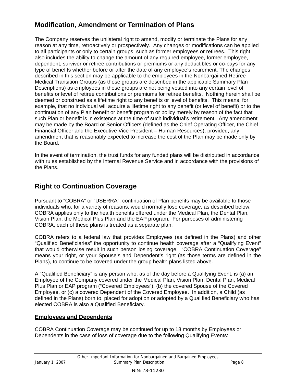# **Modification, Amendment or Termination of Plans**

The Company reserves the unilateral right to amend, modify or terminate the Plans for any reason at any time, retroactively or prospectively. Any changes or modifications can be applied to all participants or only to certain groups, such as former employees or retirees. This right also includes the ability to change the amount of any required employee, former employee, dependent, survivor or retiree contributions or premiums or any deductibles or co-pays for any type of benefits whether before or after the date of any employee's retirement. The changes described in this section may be applicable to the employees in the Nonbargained Retiree Medical Transition Groups (as those groups are described in the applicable Summary Plan Descriptions) as employees in those groups are not being vested into any certain level of benefits or level of retiree contributions or premiums for retiree benefits. Nothing herein shall be deemed or construed as a lifetime right to any benefits or level of benefits. This means, for example, that no individual will acquire a lifetime right to any benefit (or level of benefit) or to the continuation of any Plan benefit or benefit program or policy merely by reason of the fact that such Plan or benefit is in existence at the time of such individual's retirement. Any amendment may be made by the Board or Senior Officers (defined as the Chief Operating Officer, the Chief Financial Officer and the Executive Vice President – Human Resources); provided, any amendment that is reasonably expected to increase the cost of the Plan may be made only by the Board.

In the event of termination, the trust funds for any funded plans will be distributed in accordance with rules established by the Internal Revenue Service and in accordance with the provisions of the Plans.

# **Right to Continuation Coverage**

Pursuant to "COBRA" or "USERRA", continuation of Plan benefits may be available to those individuals who, for a variety of reasons, would normally lose coverage, as described below. COBRA applies only to the health benefits offered under the Medical Plan, the Dental Plan, Vision Plan, the Medical Plus Plan and the EAP program. For purposes of administering COBRA, each of these plans is treated as a separate plan.

COBRA refers to a federal law that provides Employees (as defined in the Plans) and other "Qualified Beneficiaries" the opportunity to continue health coverage after a "Qualifying Event" that would otherwise result in such person losing coverage. "COBRA Continuation Coverage" means your right, or your Spouse's and Dependent's right (as those terms are defined in the Plans), to continue to be covered under the group health plans listed above.

A "Qualified Beneficiary" is any person who, as of the day before a Qualifying Event, is (a) an Employee of the Company covered under the Medical Plan, Vision Plan, Dental Plan, Medical Plus Plan or EAP program ("Covered Employees"), (b) the covered Spouse of the Covered Employee, or (c) a covered Dependent of the Covered Employee. In addition, a Child (as defined in the Plans) born to, placed for adoption or adopted by a Qualified Beneficiary who has elected COBRA is also a Qualified Beneficiary.

# **Employees and Dependents**

COBRA Continuation Coverage may be continued for up to 18 months by Employees or Dependents in the case of loss of coverage due to the following Qualifying Events: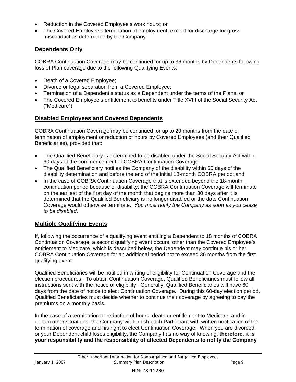- Reduction in the Covered Employee's work hours; or
- The Covered Employee's termination of employment, except for discharge for gross misconduct as determined by the Company.

# **Dependents Only**

COBRA Continuation Coverage may be continued for up to 36 months by Dependents following loss of Plan coverage due to the following Qualifying Events:

- Death of a Covered Employee;
- Divorce or legal separation from a Covered Employee;
- Termination of a Dependent's status as a Dependent under the terms of the Plans; or
- The Covered Employee's entitlement to benefits under Title XVIII of the Social Security Act ("Medicare").

# **Disabled Employees and Covered Dependents**

COBRA Continuation Coverage may be continued for up to 29 months from the date of termination of employment or reduction of hours by Covered Employees (and their Qualified Beneficiaries), provided that:

- The Qualified Beneficiary is determined to be disabled under the Social Security Act within 60 days of the commencement of COBRA Continuation Coverage;
- The Qualified Beneficiary notifies the Company of the disability within 60 days of the disability determination and before the end of the initial 18-month COBRA period; and
- In the case of COBRA Continuation Coverage that is extended beyond the 18-month continuation period because of disability, the COBRA Continuation Coverage will terminate on the earliest of the first day of the month that begins more than 30 days after it is determined that the Qualified Beneficiary is no longer disabled or the date Continuation Coverage would otherwise terminate. *You must notify the Company as soon as you cease to be disabled*.

# **Multiple Qualifying Events**

If, following the occurrence of a qualifying event entitling a Dependent to 18 months of COBRA Continuation Coverage, a second qualifying event occurs, other than the Covered Employee's entitlement to Medicare, which is described below, the Dependent may continue his or her COBRA Continuation Coverage for an additional period not to exceed 36 months from the first qualifying event.

Qualified Beneficiaries will be notified in writing of eligibility for Continuation Coverage and the election procedures. To obtain Continuation Coverage, Qualified Beneficiaries must follow all instructions sent with the notice of eligibility. Generally, Qualified Beneficiaries will have 60 days from the date of notice to elect Continuation Coverage. During this 60-day election period, Qualified Beneficiaries must decide whether to continue their coverage by agreeing to pay the premiums on a monthly basis.

In the case of a termination or reduction of hours, death or entitlement to Medicare, and in certain other situations, the Company will furnish each Participant with written notification of the termination of coverage and his right to elect Continuation Coverage. When you are divorced, or your Dependent child loses eligibility, the Company has no way of knowing; **therefore, it is your responsibility and the responsibility of affected Dependents to notify the Company**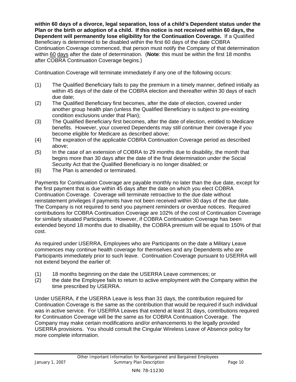**within 60 days of a divorce, legal separation, loss of a child's Dependent status under the Plan or the birth or adoption of a child. If this notice is not received within 60 days, the Dependent will permanently lose eligibility for the Continuation Coverage.** If a Qualified Beneficiary is determined to be disabled within the first 60 days of the date COBRA Continuation Coverage commenced, that person must notify the Company of that determination within 60 days after the date of determination. (**Note**: this must be within the first 18 months after COBRA Continuation Coverage begins.)

Continuation Coverage will terminate immediately if any one of the following occurs:

- (1) The Qualified Beneficiary fails to pay the premium in a timely manner, defined initially as within 45 days of the date of the COBRA election and thereafter within 30 days of each due date;
- (2) The Qualified Beneficiary first becomes, after the date of election, covered under another group health plan (unless the Qualified Beneficiary is subject to pre-existing condition exclusions under that Plan);
- (3) The Qualified Beneficiary first becomes, after the date of election, entitled to Medicare benefits. However, your covered Dependents may still continue their coverage if you become eligible for Medicare as described above;
- (4) The expiration of the applicable COBRA Continuation Coverage period as described above;
- (5) In the case of an extension of COBRA to 29 months due to disability, the month that begins more than 30 days after the date of the final determination under the Social Security Act that the Qualified Beneficiary is no longer disabled; or
- (6) The Plan is amended or terminated.

Payments for Continuation Coverage are payable monthly no later than the due date, except for the first payment that is due within 45 days after the date on which you elect COBRA Continuation Coverage. Coverage will terminate retroactive to the due date without reinstatement privileges if payments have not been received within 30 days of the due date. The Company is not required to send you payment reminders or overdue notices. Required contributions for COBRA Continuation Coverage are 102% of the cost of Continuation Coverage for similarly situated Participants. However, if COBRA Continuation Coverage has been extended beyond 18 months due to disability, the COBRA premium will be equal to 150% of that cost.

As required under USERRA, Employees who are Participants on the date a Military Leave commences may continue health coverage for themselves and any Dependents who are Participants immediately prior to such leave. Continuation Coverage pursuant to USERRA will not extend beyond the earlier of:

- (1) 18 months beginning on the date the USERRA Leave commences; or
- (2) the date the Employee fails to return to active employment with the Company within the time prescribed by USERRA.

Under USERRA, if the USERRA Leave is less than 31 days, the contribution required for Continuation Coverage is the same as the contribution that would be required if such individual was in active service. For USERRA Leaves that extend at least 31 days, contributions required for Continuation Coverage will be the same as for COBRA Continuation Coverage. The Company may make certain modifications and/or enhancements to the legally provided USERRA provisions. You should consult the Cingular Wireless Leave of Absence policy for more complete information.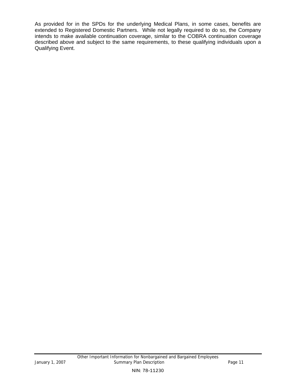As provided for in the SPDs for the underlying Medical Plans, in some cases, benefits are extended to Registered Domestic Partners. While not legally required to do so, the Company intends to make available continuation coverage, similar to the COBRA continuation coverage described above and subject to the same requirements, to these qualifying individuals upon a Qualifying Event.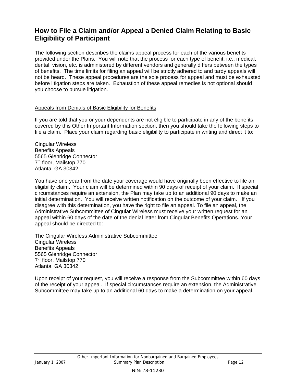# **How to File a Claim and/or Appeal a Denied Claim Relating to Basic Eligibility of Participant**

The following section describes the claims appeal process for each of the various benefits provided under the Plans. You will note that the process for each type of benefit, i.e., medical, dental, vision, etc. is administered by different vendors and generally differs between the types of benefits. The time limits for filing an appeal will be strictly adhered to and tardy appeals will not be heard. These appeal procedures are the sole process for appeal and must be exhausted before litigation steps are taken. Exhaustion of these appeal remedies is not optional should you choose to pursue litigation.

#### Appeals from Denials of Basic Eligibility for Benefits

If you are told that you or your dependents are not eligible to participate in any of the benefits covered by this Other Important Information section, then you should take the following steps to file a claim. Place your claim regarding basic eligibility to participate in writing and direct it to:

Cingular Wireless Benefits Appeals 5565 Glenridge Connector 7<sup>th</sup> floor, Mailstop 770 Atlanta, GA 30342

You have one year from the date your coverage would have originally been effective to file an eligibility claim. Your claim will be determined within 90 days of receipt of your claim. If special circumstances require an extension, the Plan may take up to an additional 90 days to make an initial determination. You will receive written notification on the outcome of your claim. If you disagree with this determination, you have the right to file an appeal. To file an appeal, the Administrative Subcommittee of Cingular Wireless must receive your written request for an appeal within 60 days of the date of the denial letter from Cingular Benefits Operations. Your appeal should be directed to:

The Cingular Wireless Administrative Subcommittee Cingular Wireless Benefits Appeals 5565 Glenridge Connector 7<sup>th</sup> floor, Mailstop 770 Atlanta, GA 30342

Upon receipt of your request, you will receive a response from the Subcommittee within 60 days of the receipt of your appeal. If special circumstances require an extension, the Administrative Subcommittee may take up to an additional 60 days to make a determination on your appeal.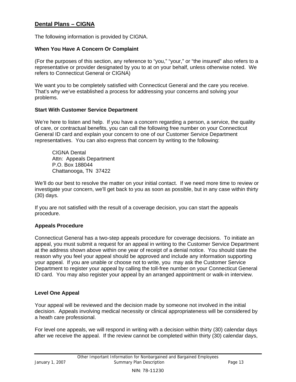## **Dental Plans – CIGNA**

The following information is provided by CIGNA.

#### **When You Have A Concern Or Complaint**

(For the purposes of this section, any reference to "you," "your," or "the insured" also refers to a representative or provider designated by you to at on your behalf, unless otherwise noted. We refers to Connecticut General or CIGNA)

We want you to be completely satisfied with Connecticut General and the care you receive. That's why we've established a process for addressing your concerns and solving your problems.

#### **Start With Customer Service Department**

We're here to listen and help. If you have a concern regarding a person, a service, the quality of care, or contractual benefits, you can call the following free number on your Connecticut General ID card and explain your concern to one of our Customer Service Department representatives. You can also express that concern by writing to the following:

CIGNA Dental Attn: Appeals Department P.O. Box 188044 Chattanooga, TN 37422

We'll do our best to resolve the matter on your initial contact. If we need more time to review or investigate your concern, we'll get back to you as soon as possible, but in any case within thirty (30) days.

If you are not satisfied with the result of a coverage decision, you can start the appeals procedure.

#### **Appeals Procedure**

Connecticut General has a two-step appeals procedure for coverage decisions. To initiate an appeal, you must submit a request for an appeal in writing to the Customer Service Department at the address shown above within one year of receipt of a denial notice. You should state the reason why you feel your appeal should be approved and include any information supporting your appeal. If you are unable or choose not to write, you may ask the Customer Service Department to register your appeal by calling the toll-free number on your Connecticut General ID card. You may also register your appeal by an arranged appointment or walk-in interview.

#### **Level One Appeal**

Your appeal will be reviewed and the decision made by someone not involved in the initial decision. Appeals involving medical necessity or clinical appropriateness will be considered by a heath care professional.

For level one appeals, we will respond in writing with a decision within thirty (30) calendar days after we receive the appeal. If the review cannot be completed within thirty (30) calendar days,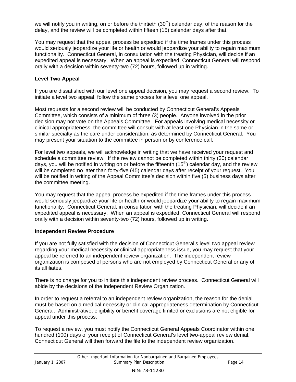we will notify you in writing, on or before the thirtieth  $(30<sup>th</sup>)$  calendar day, of the reason for the delay, and the review will be completed within fifteen (15) calendar days after that.

You may request that the appeal process be expedited if the time frames under this process would seriously jeopardize your life or health or would jeopardize your ability to regain maximum functionality. Connecticut General, in consultation with the treating Physician, will decide if an expedited appeal is necessary. When an appeal is expedited, Connecticut General will respond orally with a decision within seventy-two (72) hours, followed up in writing.

### **Level Two Appeal**

If you are dissatisfied with our level one appeal decision, you may request a second review. To initiate a level two appeal, follow the same process for a level one appeal.

Most requests for a second review will be conducted by Connecticut General's Appeals Committee, which consists of a minimum of three (3) people. Anyone involved in the prior decision may not vote on the Appeals Committee. For appeals involving medical necessity or clinical appropriateness, the committee will consult with at least one Physician in the same or similar specialty as the care under consideration, as determined by Connecticut General. You may present your situation to the committee in person or by conference call.

For level two appeals, we will acknowledge in writing that we have received your request and schedule a committee review. If the review cannot be completed within thirty (30) calendar days, you will be notified in writing on or before the fifteenth  $(15<sup>th</sup>)$  calendar day, and the review will be completed no later than forty-five (45) calendar days after receipt of your request. You will be notified in writing of the Appeal Committee's decision within five (5) business days after the committee meeting.

You may request that the appeal process be expedited if the time frames under this process would seriously jeopardize your life or health or would jeopardize your ability to regain maximum functionality. Connecticut General, in consultation with the treating Physician, will decide if an expedited appeal is necessary. When an appeal is expedited, Connecticut General will respond orally with a decision within seventy-two (72) hours, followed up in writing.

### **Independent Review Procedure**

If you are not fully satisfied with the decision of Connecticut General's level two appeal review regarding your medical necessity or clinical appropriateness issue, you may request that your appeal be referred to an independent review organization. The independent review organization is composed of persons who are not employed by Connecticut General or any of its affiliates.

There is no charge for you to initiate this independent review process. Connecticut General will abide by the decisions of the Independent Review Organization.

In order to request a referral to an independent review organization, the reason for the denial must be based on a medical necessity or clinical appropriateness determination by Connecticut General. Administrative, eligibility or benefit coverage limited or exclusions are not eligible for appeal under this process.

To request a review, you must notify the Connecticut General Appeals Coordinator within one hundred (100) days of your receipt of Connecticut General's level two-appeal review denial. Connecticut General will then forward the file to the independent review organization.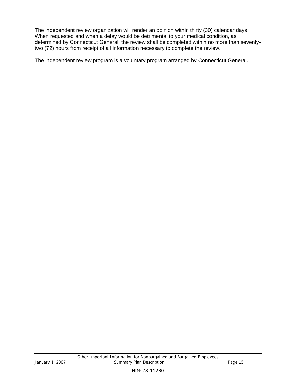The independent review organization will render an opinion within thirty (30) calendar days. When requested and when a delay would be detrimental to your medical condition, as determined by Connecticut General, the review shall be completed within no more than seventytwo (72) hours from receipt of all information necessary to complete the review.

The independent review program is a voluntary program arranged by Connecticut General.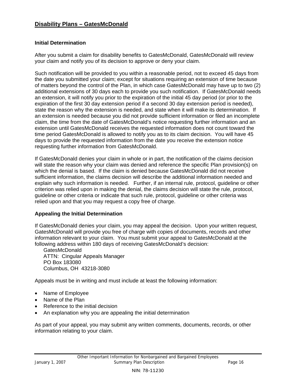## **Disability Plans – GatesMcDonald**

#### **Initial Determination**

After you submit a claim for disability benefits to GatesMcDonald, GatesMcDonald will review your claim and notify you of its decision to approve or deny your claim.

Such notification will be provided to you within a reasonable period, not to exceed 45 days from the date you submitted your claim; except for situations requiring an extension of time because of matters beyond the control of the Plan, in which case GatesMcDonald may have up to two (2) additional extensions of 30 days each to provide you such notification. If GatesMcDonald needs an extension, it will notify you prior to the expiration of the initial 45 day period (or prior to the expiration of the first 30 day extension period if a second 30 day extension period is needed), state the reason why the extension is needed, and state when it will make its determination. If an extension is needed because you did not provide sufficient information or filed an incomplete claim, the time from the date of GatesMcDonald's notice requesting further information and an extension until GatesMcDonald receives the requested information does not count toward the time period GatesMcDonald is allowed to notify you as to its claim decision. You will have 45 days to provide the requested information from the date you receive the extension notice requesting further information from GatesMcDonald.

If GatesMcDonald denies your claim in whole or in part, the notification of the claims decision will state the reason why your claim was denied and reference the specific Plan provision(s) on which the denial is based. If the claim is denied because GatesMcDonald did not receive sufficient information, the claims decision will describe the additional information needed and explain why such information is needed. Further, if an internal rule, protocol, guideline or other criterion was relied upon in making the denial, the claims decision will state the rule, protocol, guideline or other criteria or indicate that such rule, protocol, guideline or other criteria was relied upon and that you may request a copy free of charge.

#### **Appealing the Initial Determination**

If GatesMcDonald denies your claim, you may appeal the decision. Upon your written request, GatesMcDonald will provide you free of charge with copies of documents, records and other information relevant to your claim. You must submit your appeal to GatesMcDonald at the following address within 180 days of receiving GatesMcDonald's decision:

GatesMcDonald ATTN: Cingular Appeals Manager PO Box 183080 Columbus, OH 43218-3080

Appeals must be in writing and must include at least the following information:

- Name of Employee
- Name of the Plan
- Reference to the initial decision
- An explanation why you are appealing the initial determination

As part of your appeal, you may submit any written comments, documents, records, or other information relating to your claim.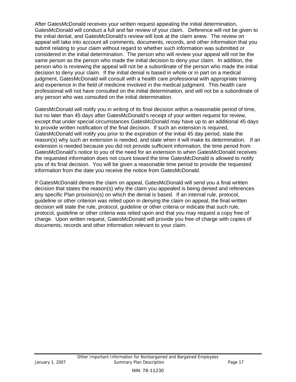After GatesMcDonald receives your written request appealing the initial determination, GatesMcDonald will conduct a full and fair review of your claim. Deference will not be given to the initial denial, and GatesMcDonald's review will look at the claim anew. The review on appeal will take into account all comments, documents, records, and other information that you submit relating to your claim without regard to whether such information was submitted or considered in the initial determination. The person who will review your appeal will not be the same person as the person who made the initial decision to deny your claim. In addition, the person who is reviewing the appeal will not be a subordinate of the person who made the initial decision to deny your claim. If the initial denial is based in whole or in part on a medical judgment, GatesMcDonald will consult with a health care professional with appropriate training and experience in the field of medicine involved in the medical judgment. This health care professional will not have consulted on the initial determination, and will not be a subordinate of any person who was consulted on the initial determination.

GatesMcDonald will notify you in writing of its final decision within a reasonable period of time, but no later than 45 days after GatesMcDonald's receipt of your written request for review, except that under special circumstances GatesMcDonald may have up to an additional 45 days to provide written notification of the final decision. If such an extension is required, GatesMcDonald will notify you prior to the expiration of the initial 45 day period, state the reason(s) why such an extension is needed, and state when it will make its determination. If an extension is needed because you did not provide sufficient information, the time period from GatesMcDonald's notice to you of the need for an extension to when GatesMcDonald receives the requested information does not count toward the time GatesMcDonald is allowed to notify you of its final decision. You will be given a reasonable time period to provide the requested information from the date you receive the notice from GatesMcDonald.

If GatesMcDonald denies the claim on appeal, GatesMcDonald will send you a final written decision that states the reason(s) why the claim you appealed is being denied and references any specific Plan provision(s) on which the denial is based. If an internal rule, protocol, guideline or other criterion was relied upon in denying the claim on appeal, the final written decision will state the rule, protocol, guideline or other criteria or indicate that such rule, protocol, guideline or other criteria was relied upon and that you may request a copy free of charge. Upon written request, GatesMcDonald will provide you free of charge with copies of documents, records and other information relevant to your claim.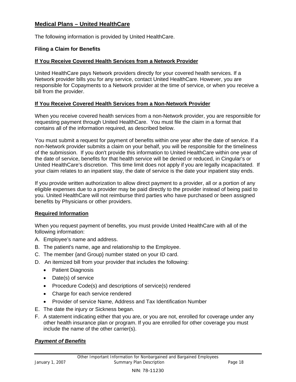## **Medical Plans – United HealthCare**

The following information is provided by United HealthCare.

#### **Filing a Claim for Benefits**

#### **If You Receive Covered Health Services from a Network Provider**

United HealthCare pays Network providers directly for your covered health services. If a Network provider bills you for any service, contact United HealthCare. However, you are responsible for Copayments to a Network provider at the time of service, or when you receive a bill from the provider.

#### **If You Receive Covered Health Services from a Non-Network Provider**

When you receive covered health services from a non-Network provider, you are responsible for requesting payment through United HealthCare. You must file the claim in a format that contains all of the information required, as described below.

You must submit a request for payment of benefits within one year after the date of service. If a non-Network provider submits a claim on your behalf, you will be responsible for the timeliness of the submission. If you don't provide this information to United HealthCare within one year of the date of service, benefits for that health service will be denied or reduced, in Cingular's or United HealthCare's discretion. This time limit does not apply if you are legally incapacitated. If your claim relates to an inpatient stay, the date of service is the date your inpatient stay ends.

If you provide written authorization to allow direct payment to a provider, all or a portion of any eligible expenses due to a provider may be paid directly to the provider instead of being paid to you. United HealthCare will not reimburse third parties who have purchased or been assigned benefits by Physicians or other providers.

#### **Required Information**

When you request payment of benefits, you must provide United HealthCare with all of the following information:

- A. Employee's name and address.
- B. The patient's name, age and relationship to the Employee.
- C. The member {and Group} number stated on your ID card.
- D. An itemized bill from your provider that includes the following:
	- Patient Diagnosis
	- Date(s) of service
	- Procedure Code(s) and descriptions of service(s) rendered
	- Charge for each service rendered
	- Provider of service Name, Address and Tax Identification Number
- E. The date the injury or Sickness began.
- F. A statement indicating either that you are, or you are not, enrolled for coverage under any other health insurance plan or program. If you are enrolled for other coverage you must include the name of the other carrier(s).

#### *Payment of Benefits*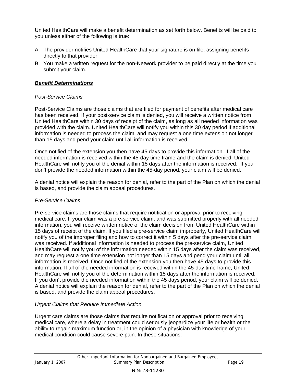United HealthCare will make a benefit determination as set forth below. Benefits will be paid to you unless either of the following is true:

- A. The provider notifies United HealthCare that your signature is on file, assigning benefits directly to that provider.
- B. You make a written request for the non-Network provider to be paid directly at the time you submit your claim.

### *Benefit Determinations*

### *Post-Service Claims*

Post-Service Claims are those claims that are filed for payment of benefits after medical care has been received. If your post-service claim is denied, you will receive a written notice from United HealthCare within 30 days of receipt of the claim, as long as all needed information was provided with the claim. United HealthCare will notify you within this 30 day period if additional information is needed to process the claim, and may request a one time extension not longer than 15 days and pend your claim until all information is received.

Once notified of the extension you then have 45 days to provide this information. If all of the needed information is received within the 45-day time frame and the claim is denied, United HealthCare will notify you of the denial within 15 days after the information is received. If you don't provide the needed information within the 45-day period, your claim will be denied.

A denial notice will explain the reason for denial, refer to the part of the Plan on which the denial is based, and provide the claim appeal procedures.

### *Pre-Service Claims*

Pre-service claims are those claims that require notification or approval prior to receiving medical care. If your claim was a pre-service claim, and was submitted properly with all needed information, you will receive written notice of the claim decision from United HealthCare within 15 days of receipt of the claim. If you filed a pre-service claim improperly, United HealthCare will notify you of the improper filing and how to correct it within 5 days after the pre-service claim was received. If additional information is needed to process the pre-service claim, United HealthCare will notify you of the information needed within 15 days after the claim was received, and may request a one time extension not longer than 15 days and pend your claim until all information is received. Once notified of the extension you then have 45 days to provide this information. If all of the needed information is received within the 45-day time frame, United HealthCare will notify you of the determination within 15 days after the information is received. If you don't provide the needed information within the 45 days period, your claim will be denied. A denial notice will explain the reason for denial, refer to the part of the Plan on which the denial is based, and provide the claim appeal procedures.

### *Urgent Claims that Require Immediate Action*

Urgent care claims are those claims that require notification or approval prior to receiving medical care, where a delay in treatment could seriously jeopardize your life or health or the ability to regain maximum function or, in the opinion of a physician with knowledge of your medical condition could cause severe pain. In these situations: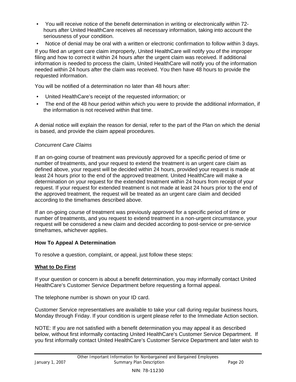- You will receive notice of the benefit determination in writing or electronically within 72 hours after United HealthCare receives all necessary information, taking into account the seriousness of your condition.
- Notice of denial may be oral with a written or electronic confirmation to follow within 3 days.

If you filed an urgent care claim improperly, United HealthCare will notify you of the improper filing and how to correct it within 24 hours after the urgent claim was received. If additional information is needed to process the claim, United HealthCare will notify you of the information needed within 24 hours after the claim was received. You then have 48 hours to provide the requested information.

You will be notified of a determination no later than 48 hours after:

- United HealthCare's receipt of the requested information; or
- The end of the 48 hour period within which you were to provide the additional information, if the information is not received within that time.

A denial notice will explain the reason for denial, refer to the part of the Plan on which the denial is based, and provide the claim appeal procedures.

#### *Concurrent Care Claims*

If an on-going course of treatment was previously approved for a specific period of time or number of treatments, and your request to extend the treatment is an urgent care claim as defined above, your request will be decided within 24 hours, provided your request is made at least 24 hours prior to the end of the approved treatment. United HealthCare will make a determination on your request for the extended treatment within 24 hours from receipt of your request. If your request for extended treatment is not made at least 24 hours prior to the end of the approved treatment, the request will be treated as an urgent care claim and decided according to the timeframes described above.

If an on-going course of treatment was previously approved for a specific period of time or number of treatments, and you request to extend treatment in a non-urgent circumstance, your request will be considered a new claim and decided according to post-service or pre-service timeframes, whichever applies.

### **How To Appeal A Determination**

To resolve a question, complaint, or appeal, just follow these steps:

#### **What to Do First**

If your question or concern is about a benefit determination, you may informally contact United HealthCare's Customer Service Department before requesting a formal appeal.

The telephone number is shown on your ID card.

Customer Service representatives are available to take your call during regular business hours, Monday through Friday. If your condition is urgent please refer to the Immediate Action section.

NOTE: If you are not satisfied with a benefit determination you may appeal it as described below, without first informally contacting United HealthCare's Customer Service Department. If you first informally contact United HealthCare's Customer Service Department and later wish to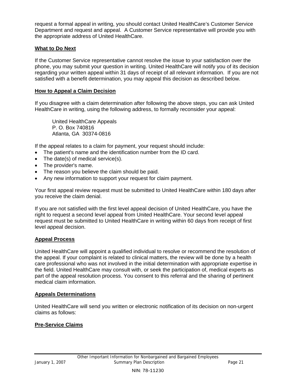request a formal appeal in writing, you should contact United HealthCare's Customer Service Department and request and appeal. A Customer Service representative will provide you with the appropriate address of United HealthCare.

#### **What to Do Next**

If the Customer Service representative cannot resolve the issue to your satisfaction over the phone, you may submit your question in writing. United HealthCare will notify you of its decision regarding your written appeal within 31 days of receipt of all relevant information. If you are not satisfied with a benefit determination, you may appeal this decision as described below.

#### **How to Appeal a Claim Decision**

If you disagree with a claim determination after following the above steps, you can ask United HealthCare in writing, using the following address, to formally reconsider your appeal:

United HealthCare Appeals P. O. Box 740816 Atlanta, GA 30374-0816

If the appeal relates to a claim for payment, your request should include:

- The patient's name and the identification number from the ID card.
- The date(s) of medical service(s).
- The provider's name.
- The reason you believe the claim should be paid.
- Any new information to support your request for claim payment.

Your first appeal review request must be submitted to United HealthCare within 180 days after you receive the claim denial.

If you are not satisfied with the first level appeal decision of United HealthCare, you have the right to request a second level appeal from United HealthCare. Your second level appeal request must be submitted to United HealthCare in writing within 60 days from receipt of first level appeal decision.

#### **Appeal Process**

United HealthCare will appoint a qualified individual to resolve or recommend the resolution of the appeal. If your complaint is related to clinical matters, the review will be done by a health care professional who was not involved in the initial determination with appropriate expertise in the field. United HealthCare may consult with, or seek the participation of, medical experts as part of the appeal resolution process. You consent to this referral and the sharing of pertinent medical claim information.

#### **Appeals Determinations**

United HealthCare will send you written or electronic notification of its decision on non-urgent claims as follows:

### **Pre-Service Claims**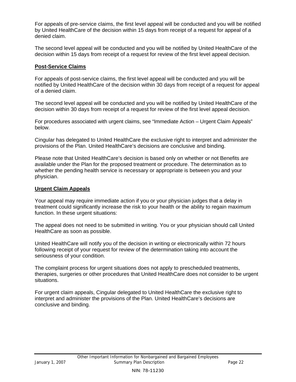For appeals of pre-service claims, the first level appeal will be conducted and you will be notified by United HealthCare of the decision within 15 days from receipt of a request for appeal of a denied claim.

The second level appeal will be conducted and you will be notified by United HealthCare of the decision within 15 days from receipt of a request for review of the first level appeal decision.

#### **Post-Service Claims**

For appeals of post-service claims, the first level appeal will be conducted and you will be notified by United HealthCare of the decision within 30 days from receipt of a request for appeal of a denied claim.

The second level appeal will be conducted and you will be notified by United HealthCare of the decision within 30 days from receipt of a request for review of the first level appeal decision.

For procedures associated with urgent claims, see "Immediate Action – Urgent Claim Appeals" below.

Cingular has delegated to United HealthCare the exclusive right to interpret and administer the provisions of the Plan. United HealthCare's decisions are conclusive and binding.

Please note that United HealthCare's decision is based only on whether or not Benefits are available under the Plan for the proposed treatment or procedure. The determination as to whether the pending health service is necessary or appropriate is between you and your physician.

#### **Urgent Claim Appeals**

Your appeal may require immediate action if you or your physician judges that a delay in treatment could significantly increase the risk to your health or the ability to regain maximum function. In these urgent situations:

The appeal does not need to be submitted in writing. You or your physician should call United HealthCare as soon as possible.

United HealthCare will notify you of the decision in writing or electronically within 72 hours following receipt of your request for review of the determination taking into account the seriousness of your condition.

The complaint process for urgent situations does not apply to prescheduled treatments, therapies, surgeries or other procedures that United HealthCare does not consider to be urgent situations.

For urgent claim appeals, Cingular delegated to United HealthCare the exclusive right to interpret and administer the provisions of the Plan. United HealthCare's decisions are conclusive and binding.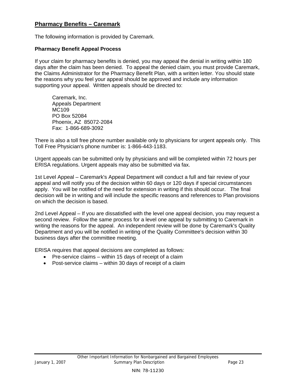### **Pharmacy Benefits – Caremark**

The following information is provided by Caremark.

#### **Pharmacy Benefit Appeal Process**

If your claim for pharmacy benefits is denied, you may appeal the denial in writing within 180 days after the claim has been denied. To appeal the denied claim, you must provide Caremark, the Claims Administrator for the Pharmacy Benefit Plan, with a written letter. You should state the reasons why you feel your appeal should be approved and include any information supporting your appeal. Written appeals should be directed to:

Caremark, Inc. Appeals Department MC109 PO Box 52084 Phoenix, AZ 85072-2084 Fax: 1-866-689-3092

There is also a toll free phone number available only to physicians for urgent appeals only. This Toll Free Physician's phone number is: 1-866-443-1183.

Urgent appeals can be submitted only by physicians and will be completed within 72 hours per ERISA regulations. Urgent appeals may also be submitted via fax.

1st Level Appeal – Caremark's Appeal Department will conduct a full and fair review of your appeal and will notify you of the decision within 60 days or 120 days if special circumstances apply. You will be notified of the need for extension in writing if this should occur. The final decision will be in writing and will include the specific reasons and references to Plan provisions on which the decision is based.

2nd Level Appeal – If you are dissatisfied with the level one appeal decision, you may request a second review. Follow the same process for a level one appeal by submitting to Caremark in writing the reasons for the appeal. An independent review will be done by Caremark's Quality Department and you will be notified in writing of the Quality Committee's decision within 30 business days after the committee meeting.

ERISA requires that appeal decisions are completed as follows:

- Pre-service claims within 15 days of receipt of a claim
- Post-service claims within 30 days of receipt of a claim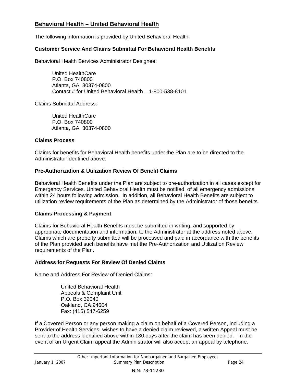## **Behavioral Health – United Behavioral Health**

The following information is provided by United Behavioral Health.

#### **Customer Service And Claims Submittal For Behavioral Health Benefits**

Behavioral Health Services Administrator Designee:

United HealthCare P.O. Box 740800 Atlanta, GA 30374-0800 Contact # for United Behavioral Health – 1-800-538-8101

Claims Submittal Address:

United HealthCare P.O. Box 740800 Atlanta, GA 30374-0800

#### **Claims Process**

Claims for benefits for Behavioral Health benefits under the Plan are to be directed to the Administrator identified above.

#### **Pre-Authorization & Utilization Review Of Benefit Claims**

Behavioral Health Benefits under the Plan are subject to pre-authorization in all cases except for Emergency Services. United Behavioral Health must be notified of all emergency admissions within 24 hours following admission. In addition, all Behavioral Health Benefits are subject to utilization review requirements of the Plan as determined by the Administrator of those benefits.

#### **Claims Processing & Payment**

Claims for Behavioral Health Benefits must be submitted in writing, and supported by appropriate documentation and information, to the Administrator at the address noted above. Claims which are properly submitted will be processed and paid in accordance with the benefits of the Plan provided such benefits have met the Pre-Authorization and Utilization Review requirements of the Plan.

#### **Address for Requests For Review Of Denied Claims**

Name and Address For Review of Denied Claims:

United Behavioral Health Appeals & Complaint Unit P.O. Box 32040 Oakland, CA 94604 Fax: (415) 547-6259

If a Covered Person or any person making a claim on behalf of a Covered Person, including a Provider of Health Services, wishes to have a denied claim reviewed, a written Appeal must be sent to the address identified above within 180 days after the claim has been denied. In the event of an Urgent Claim appeal the Administrator will also accept an appeal by telephone.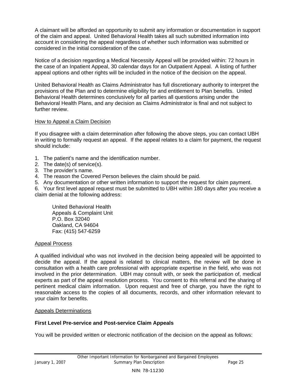A claimant will be afforded an opportunity to submit any information or documentation in support of the claim and appeal. United Behavioral Health takes all such submitted information into account in considering the appeal regardless of whether such information was submitted or considered in the initial consideration of the case.

Notice of a decision regarding a Medical Necessity Appeal will be provided within: 72 hours in the case of an Inpatient Appeal, 30 calendar days for an Outpatient Appeal. A listing of further appeal options and other rights will be included in the notice of the decision on the appeal.

United Behavioral Health as Claims Administrator has full discretionary authority to interpret the provisions of the Plan and to determine eligibility for and entitlement to Plan benefits. United Behavioral Health determines conclusively for all parties all questions arising under the Behavioral Health Plans, and any decision as Claims Administrator is final and not subject to further review.

#### How to Appeal a Claim Decision

If you disagree with a claim determination after following the above steps, you can contact UBH in writing to formally request an appeal. If the appeal relates to a claim for payment, the request should include:

- 1. The patient's name and the identification number.
- 2. The date(s) of service(s).
- 3. The provider's name.
- 4. The reason the Covered Person believes the claim should be paid.
- 5. Any documentation or other written information to support the request for claim payment.

6. Your first level appeal request must be submitted to UBH within 180 days after you receive a claim denial at the following address:

United Behavioral Health Appeals & Complaint Unit P.O. Box 32040 Oakland, CA 94604 Fax: (415) 547-6259

#### Appeal Process

A qualified individual who was not involved in the decision being appealed will be appointed to decide the appeal. If the appeal is related to clinical matters, the review will be done in consultation with a health care professional with appropriate expertise in the field, who was not involved in the prior determination. UBH may consult with, or seek the participation of, medical experts as part of the appeal resolution process. You consent to this referral and the sharing of pertinent medical claim information. Upon request and free of charge, you have the right to reasonable access to the copies of all documents, records, and other information relevant to your claim for benefits.

#### Appeals Determinations

#### **First Level Pre-service and Post-service Claim Appeals**

You will be provided written or electronic notification of the decision on the appeal as follows: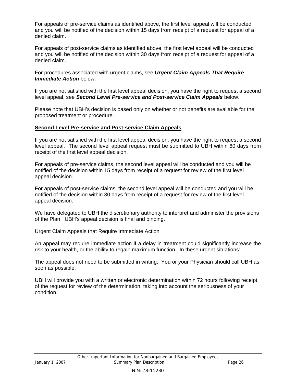For appeals of pre-service claims as identified above, the first level appeal will be conducted and you will be notified of the decision within 15 days from receipt of a request for appeal of a denied claim.

For appeals of post-service claims as identified above, the first level appeal will be conducted and you will be notified of the decision within 30 days from receipt of a request for appeal of a denied claim.

For procedures associated with urgent claims, see *Urgent Claim Appeals That Require Immediate Action* below.

If you are not satisfied with the first level appeal decision, you have the right to request a second level appeal, see *Second Level Pre-service and Post-service Claim Appeals* below.

Please note that UBH's decision is based only on whether or not benefits are available for the proposed treatment or procedure.

#### **Second Level Pre-service and Post-service Claim Appeals**

If you are not satisfied with the first level appeal decision, you have the right to request a second level appeal. The second level appeal request must be submitted to UBH within 60 days from receipt of the first level appeal decision.

For appeals of pre-service claims, the second level appeal will be conducted and you will be notified of the decision within 15 days from receipt of a request for review of the first level appeal decision.

For appeals of post-service claims, the second level appeal will be conducted and you will be notified of the decision within 30 days from receipt of a request for review of the first level appeal decision.

We have delegated to UBH the discretionary authority to interpret and administer the provisions of the Plan. UBH's appeal decision is final and binding.

#### Urgent Claim Appeals that Require Immediate Action

An appeal may require immediate action if a delay in treatment could significantly increase the risk to your health, or the ability to regain maximum function. In these urgent situations:

The appeal does not need to be submitted in writing. You or your Physician should call UBH as soon as possible.

UBH will provide you with a written or electronic determination within 72 hours following receipt of the request for review of the determination, taking into account the seriousness of your condition.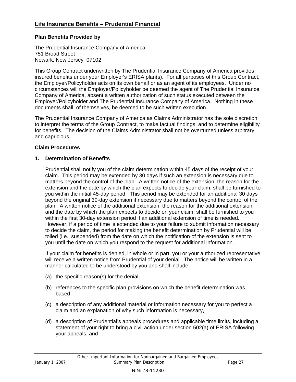## **Life Insurance Benefits – Prudential Financial**

#### **Plan Benefits Provided by**

The Prudential Insurance Company of America 751 Broad Street Newark, New Jersey 07102

This Group Contract underwritten by The Prudential Insurance Company of America provides insured benefits under your Employer's ERISA plan(s). For all purposes of this Group Contract, the Employer/Policyholder acts on its own behalf or as an agent of its employees. Under no circumstances will the Employer/Policyholder be deemed the agent of The Prudential Insurance Company of America, absent a written authorization of such status executed between the Employer/Policyholder and The Prudential Insurance Company of America. Nothing in these documents shall, of themselves, be deemed to be such written execution.

The Prudential Insurance Company of America as Claims Administrator has the sole discretion to interpret the terms of the Group Contract, to make factual findings, and to determine eligibility for benefits. The decision of the Claims Administrator shall not be overturned unless arbitrary and capricious.

#### **Claim Procedures**

#### **1. Determination of Benefits**

Prudential shall notify you of the claim determination within 45 days of the receipt of your claim. This period may be extended by 30 days if such an extension is necessary due to matters beyond the control of the plan. A written notice of the extension, the reason for the extension and the date by which the plan expects to decide your claim, shall be furnished to you within the initial 45-day period. This period may be extended for an additional 30 days beyond the original 30-day extension if necessary due to matters beyond the control of the plan. A written notice of the additional extension, the reason for the additional extension and the date by which the plan expects to decide on your claim, shall be furnished to you within the first 30-day extension period if an additional extension of time is needed. However, if a period of time is extended due to your failure to submit information necessary to decide the claim, the period for making the benefit determination by Prudential will be tolled (i.e., suspended) from the date on which the notification of the extension is sent to you until the date on which you respond to the request for additional information.

If your claim for benefits is denied, in whole or in part, you or your authorized representative will receive a written notice from Prudential of your denial. The notice will be written in a manner calculated to be understood by you and shall include:

- (a) the specific reason(s) for the denial,
- (b) references to the specific plan provisions on which the benefit determination was based,
- (c) a description of any additional material or information necessary for you to perfect a claim and an explanation of why such information is necessary,
- (d) a description of Prudential's appeals procedures and applicable time limits, including a statement of your right to bring a civil action under section 502(a) of ERISA following your appeals, and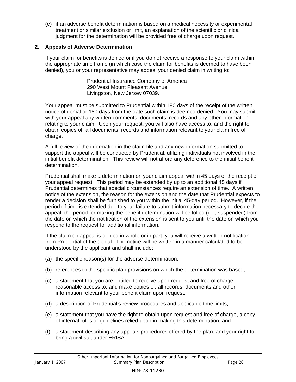(e) if an adverse benefit determination is based on a medical necessity or experimental treatment or similar exclusion or limit, an explanation of the scientific or clinical judgment for the determination will be provided free of charge upon request.

#### **2. Appeals of Adverse Determination**

If your claim for benefits is denied or if you do not receive a response to your claim within the appropriate time frame (in which case the claim for benefits is deemed to have been denied), you or your representative may appeal your denied claim in writing to:

> Prudential Insurance Company of America 290 West Mount Pleasant Avenue Livingston, New Jersey 07039.

Your appeal must be submitted to Prudential within 180 days of the receipt of the written notice of denial or 180 days from the date such claim is deemed denied. You may submit with your appeal any written comments, documents, records and any other information relating to your claim. Upon your request, you will also have access to, and the right to obtain copies of, all documents, records and information relevant to your claim free of charge.

A full review of the information in the claim file and any new information submitted to support the appeal will be conducted by Prudential, utilizing individuals not involved in the initial benefit determination. This review will not afford any deference to the initial benefit determination.

Prudential shall make a determination on your claim appeal within 45 days of the receipt of your appeal request. This period may be extended by up to an additional 45 days if Prudential determines that special circumstances require an extension of time. A written notice of the extension, the reason for the extension and the date that Prudential expects to render a decision shall be furnished to you within the initial 45-day period. However, if the period of time is extended due to your failure to submit information necessary to decide the appeal, the period for making the benefit determination will be tolled (i.e., suspended) from the date on which the notification of the extension is sent to you until the date on which you respond to the request for additional information.

If the claim on appeal is denied in whole or in part, you will receive a written notification from Prudential of the denial. The notice will be written in a manner calculated to be understood by the applicant and shall include:

- (a) the specific reason(s) for the adverse determination,
- (b) references to the specific plan provisions on which the determination was based,
- (c) a statement that you are entitled to receive upon request and free of charge reasonable access to, and make copies of, all records, documents and other information relevant to your benefit claim upon request,
- (d) a description of Prudential's review procedures and applicable time limits,
- (e) a statement that you have the right to obtain upon request and free of charge, a copy of internal rules or guidelines relied upon in making this determination, and
- (f) a statement describing any appeals procedures offered by the plan, and your right to bring a civil suit under ERISA.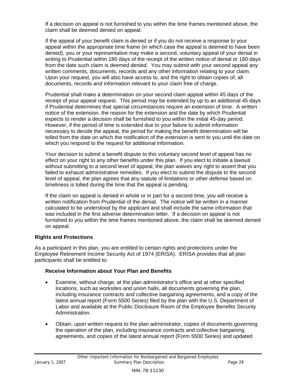If a decision on appeal is not furnished to you within the time frames mentioned above, the claim shall be deemed denied on appeal.

If the appeal of your benefit claim is denied or if you do not receive a response to your appeal within the appropriate time frame (in which case the appeal is deemed to have been denied), you or your representative may make a second, voluntary appeal of your denial in writing to Prudential within 180 days of the receipt of the written notice of denial or 180 days from the date such claim is deemed denied. You may submit with your second appeal any written comments, documents, records and any other information relating to your claim. Upon your request, you will also have access to, and the right to obtain copies of, all documents, records and information relevant to your claim free of charge.

Prudential shall make a determination on your second claim appeal within 45 days of the receipt of your appeal request. This period may be extended by up to an additional 45 days if Prudential determines that special circumstances require an extension of time. A written notice of the extension, the reason for the extension and the date by which Prudential expects to render a decision shall be furnished to you within the initial 45-day period. However, if the period of time is extended due to your failure to submit information necessary to decide the appeal, the period for making the benefit determination will be tolled from the date on which the notification of the extension is sent to you until the date on which you respond to the request for additional information.

Your decision to submit a benefit dispute to this voluntary second level of appeal has no effect on your right to any other benefits under this plan. If you elect to initiate a lawsuit without submitting to a second level of appeal, the plan waives any right to assert that you failed to exhaust administrative remedies. If you elect to submit the dispute to the second level of appeal, the plan agrees that any statute of limitations or other defense based on timeliness is tolled during the time that the appeal is pending.

If the claim on appeal is denied in whole or in part for a second time, you will receive a written notification from Prudential of the denial. The notice will be written in a manner calculated to be understood by the applicant and shall include the same information that was included in the first adverse determination letter. If a decision on appeal is not furnished to you within the time frames mentioned above, the claim shall be deemed denied on appeal.

### **Rights and Protections**

As a participant in this plan, you are entitled to certain rights and protections under the Employee Retirement Income Security Act of 1974 (ERISA). ERISA provides that all plan participants shall be entitled to:

#### **Receive Information about Your Plan and Benefits**

- Examine, without charge, at the plan administrator's office and at other specified locations, such as worksites and union halls, all documents governing the plan, including insurance contracts and collective bargaining agreements, and a copy of the latest annual report (Form 5500 Series) filed by the plan with the U.S. Department of Labor and available at the Public Disclosure Room of the Employee Benefits Security Administration.
- Obtain, upon written request to the plan administrator, copies of documents governing the operation of the plan, including insurance contracts and collective bargaining agreements, and copies of the latest annual report (Form 5500 Series) and updated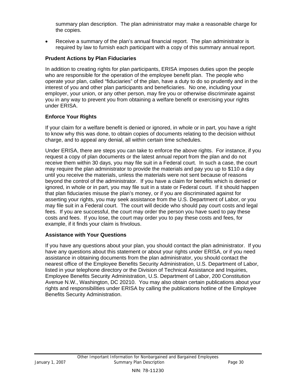summary plan description. The plan administrator may make a reasonable charge for the copies.

• Receive a summary of the plan's annual financial report. The plan administrator is required by law to furnish each participant with a copy of this summary annual report.

### **Prudent Actions by Plan Fiduciaries**

In addition to creating rights for plan participants, ERISA imposes duties upon the people who are responsible for the operation of the employee benefit plan. The people who operate your plan, called "fiduciaries" of the plan, have a duty to do so prudently and in the interest of you and other plan participants and beneficiaries. No one, including your employer, your union, or any other person, may fire you or otherwise discriminate against you in any way to prevent you from obtaining a welfare benefit or exercising your rights under ERISA.

#### **Enforce Your Rights**

If your claim for a welfare benefit is denied or ignored, in whole or in part, you have a right to know why this was done, to obtain copies of documents relating to the decision without charge, and to appeal any denial, all within certain time schedules.

Under ERISA, there are steps you can take to enforce the above rights. For instance, if you request a copy of plan documents or the latest annual report from the plan and do not receive them within 30 days, you may file suit in a Federal court. In such a case, the court may require the plan administrator to provide the materials and pay you up to \$110 a day until you receive the materials, unless the materials were not sent because of reasons beyond the control of the administrator. If you have a claim for benefits which is denied or ignored, in whole or in part, you may file suit in a state or Federal court. If it should happen that plan fiduciaries misuse the plan's money, or if you are discriminated against for asserting your rights, you may seek assistance from the U.S. Department of Labor, or you may file suit in a Federal court. The court will decide who should pay court costs and legal fees. If you are successful, the court may order the person you have sued to pay these costs and fees. If you lose, the court may order you to pay these costs and fees, for example, if it finds your claim is frivolous.

#### **Assistance with Your Questions**

If you have any questions about your plan, you should contact the plan administrator. If you have any questions about this statement or about your rights under ERISA, or if you need assistance in obtaining documents from the plan administrator, you should contact the nearest office of the Employee Benefits Security Administration, U.S. Department of Labor, listed in your telephone directory or the Division of Technical Assistance and Inquiries, Employee Benefits Security Administration, U.S. Department of Labor, 200 Constitution Avenue N.W., Washington, DC 20210. You may also obtain certain publications about your rights and responsibilities under ERISA by calling the publications hotline of the Employee Benefits Security Administration.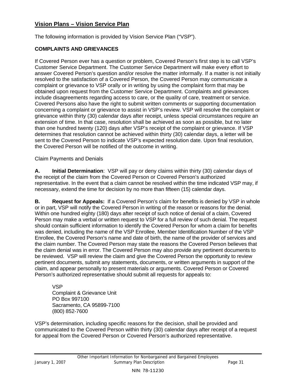# **Vision Plans – Vision Service Plan**

The following information is provided by Vision Service Plan ("VSP").

### **COMPLAINTS AND GRIEVANCES**

If Covered Person ever has a question or problem, Covered Person's first step is to call VSP's Customer Service Department. The Customer Service Department will make every effort to answer Covered Person's question and/or resolve the matter informally. If a matter is not initially resolved to the satisfaction of a Covered Person, the Covered Person may communicate a complaint or grievance to VSP orally or in writing by using the complaint form that may be obtained upon request from the Customer Service Department. Complaints and grievances include disagreements regarding access to care, or the quality of care, treatment or service. Covered Persons also have the right to submit written comments or supporting documentation concerning a complaint or grievance to assist in VSP's review. VSP will resolve the complaint or grievance within thirty (30) calendar days after receipt, unless special circumstances require an extension of time. In that case, resolution shall be achieved as soon as possible, but no later than one hundred twenty (120) days after VSP's receipt of the complaint or grievance. If VSP determines that resolution cannot be achieved within thirty (30) calendar days, a letter will be sent to the Covered Person to indicate VSP's expected resolution date. Upon final resolution, the Covered Person will be notified of the outcome in writing.

Claim Payments and Denials

**A. Initial Determination**: VSP will pay or deny claims within thirty (30) calendar days of the receipt of the claim from the Covered Person or Covered Person's authorized representative. In the event that a claim cannot be resolved within the time indicated VSP may, if necessary, extend the time for decision by no more than fifteen (15) calendar days.

**B.** Request for Appeals: If a Covered Person's claim for benefits is denied by VSP in whole or in part, VSP will notify the Covered Person in writing of the reason or reasons for the denial. Within one hundred eighty (180) days after receipt of such notice of denial of a claim, Covered Person may make a verbal or written request to VSP for a full review of such denial. The request should contain sufficient information to identify the Covered Person for whom a claim for benefits was denied, including the name of the VSP Enrollee, Member Identification Number of the VSP Enrollee, the Covered Person's name and date of birth, the name of the provider of services and the claim number. The Covered Person may state the reasons the Covered Person believes that the claim denial was in error. The Covered Person may also provide any pertinent documents to be reviewed. VSP will review the claim and give the Covered Person the opportunity to review pertinent documents, submit any statements, documents, or written arguments in support of the claim, and appear personally to present materials or arguments. Covered Person or Covered Person's authorized representative should submit all requests for appeals to:

VSP Complaint & Grievance Unit PO Box 997100 Sacramento, CA 95899-7100 (800) 852-7600

VSP's determination, including specific reasons for the decision, shall be provided and communicated to the Covered Person within thirty (30) calendar days after receipt of a request for appeal from the Covered Person or Covered Person's authorized representative.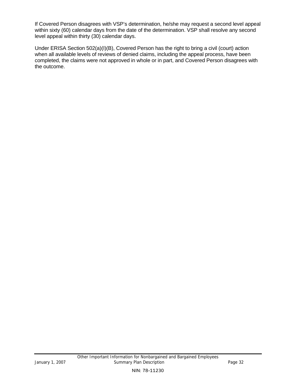If Covered Person disagrees with VSP's determination, he/she may request a second level appeal within sixty (60) calendar days from the date of the determination. VSP shall resolve any second level appeal within thirty (30) calendar days.

Under ERISA Section 502(a)(I)(B), Covered Person has the right to bring a civil (court) action when all available levels of reviews of denied claims, including the appeal process, have been completed, the claims were not approved in whole or in part, and Covered Person disagrees with the outcome.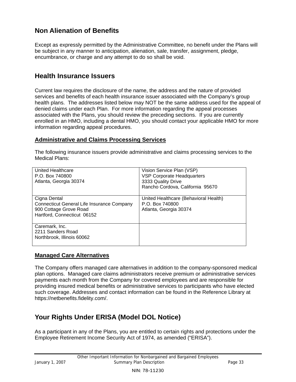# **Non Alienation of Benefits**

Except as expressly permitted by the Administrative Committee, no benefit under the Plans will be subject in any manner to anticipation, alienation, sale, transfer, assignment, pledge, encumbrance, or charge and any attempt to do so shall be void.

# **Health Insurance Issuers**

Current law requires the disclosure of the name, the address and the nature of provided services and benefits of each health insurance issuer associated with the Company's group health plans. The addresses listed below may NOT be the same address used for the appeal of denied claims under each Plan. For more information regarding the appeal processes associated with the Plans, you should review the preceding sections. If you are currently enrolled in an HMO, including a dental HMO, you should contact your applicable HMO for more information regarding appeal procedures.

#### **Administrative and Claims Processing Services**

The following insurance issuers provide administrative and claims processing services to the Medical Plans:

| United Healthcare<br>P.O. Box 740800<br>Atlanta, Georgia 30374                                                      | Vision Service Plan (VSP)<br>VSP Corporate Headquarters<br>3333 Quality Drive<br>Rancho Cordova, California 95670 |
|---------------------------------------------------------------------------------------------------------------------|-------------------------------------------------------------------------------------------------------------------|
| Cigna Dental<br>Connecticut General Life Insurance Company<br>900 Cottage Grove Road<br>Hartford, Connecticut 06152 | United Healthcare (Behavioral Health)<br>P.O. Box 740800<br>Atlanta, Georgia 30374                                |
| Caremark, Inc.<br>2211 Sanders Road<br>Northbrook, Illinois 60062                                                   |                                                                                                                   |

### **Managed Care Alternatives**

The Company offers managed care alternatives in addition to the company-sponsored medical plan options. Managed care claims administrators receive premium or administrative services payments each month from the Company for covered employees and are responsible for providing insured medical benefits or administrative services to participants who have elected such coverage. Addresses and contact information can be found in the Reference Library at https://netbenefits.fidelity.com/.

# **Your Rights Under ERISA (Model DOL Notice)**

As a participant in any of the Plans, you are entitled to certain rights and protections under the Employee Retirement Income Security Act of 1974, as amended ("ERISA").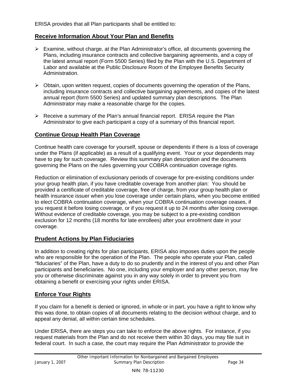ERISA provides that all Plan participants shall be entitled to:

### **Receive Information About Your Plan and Benefits**

- $\triangleright$  Examine, without charge, at the Plan Administrator's office, all documents governing the Plans, including insurance contracts and collective bargaining agreements, and a copy of the latest annual report (Form 5500 Series) filed by the Plan with the U.S. Department of Labor and available at the Public Disclosure Room of the Employee Benefits Security Administration.
- $\triangleright$  Obtain, upon written request, copies of documents governing the operation of the Plans, including insurance contracts and collective bargaining agreements, and copies of the latest annual report (form 5500 Series) and updated summary plan descriptions. The Plan Administrator may make a reasonable charge for the copies.
- $\triangleright$  Receive a summary of the Plan's annual financial report. ERISA require the Plan Administrator to give each participant a copy of a summary of this financial report.

## **Continue Group Health Plan Coverage**

Continue health care coverage for yourself, spouse or dependents if there is a loss of coverage under the Plans (if applicable) as a result of a qualifying event. Your or your dependents may have to pay for such coverage. Review this summary plan description and the documents governing the Plans on the rules governing your COBRA continuation coverage rights.

Reduction or elimination of exclusionary periods of coverage for pre-existing conditions under your group health plan, if you have creditable coverage from another plan: You should be provided a certificate of creditable coverage, free of charge, from your group health plan or health insurance issuer when you lose coverage under certain plans, when you become entitled to elect COBRA continuation coverage, when your COBRA continuation coverage ceases, if you request it before losing coverage, or if you request it up to 24 months after losing coverage. Without evidence of creditable coverage, you may be subject to a pre-existing condition exclusion for 12 months (18 months for late enrollees) after your enrollment date in your coverage.

### **Prudent Actions by Plan Fiduciaries**

In addition to creating rights for plan participants, ERISA also imposes duties upon the people who are responsible for the operation of the Plan. The people who operate your Plan, called "fiduciaries" of the Plan, have a duty to do so prudently and in the interest of you and other Plan participants and beneficiaries. No one, including your employer and any other person, may fire you or otherwise discriminate against you in any way solely in order to prevent you from obtaining a benefit or exercising your rights under ERISA.

# **Enforce Your Rights**

If you claim for a benefit is denied or ignored, in whole or in part, you have a right to know why this was done, to obtain copies of all documents relating to the decision without charge, and to appeal any denial, all within certain time schedules.

Under ERISA, there are steps you can take to enforce the above rights. For instance, if you request materials from the Plan and do not receive them within 30 days, you may file suit in federal court. In such a case, the court may require the Plan Administrator to provide the